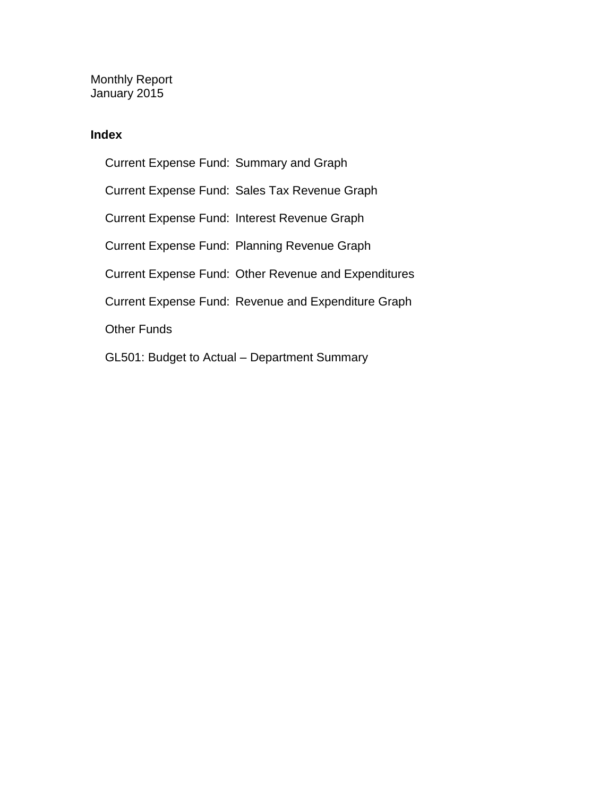Monthly Report January 2015

### **Index**

Current Expense Fund: Summary and Graph Current Expense Fund: Sales Tax Revenue Graph Current Expense Fund: Interest Revenue Graph Current Expense Fund: Planning Revenue Graph Current Expense Fund: Other Revenue and Expenditures Current Expense Fund: Revenue and Expenditure Graph Other Funds GL501: Budget to Actual – Department Summary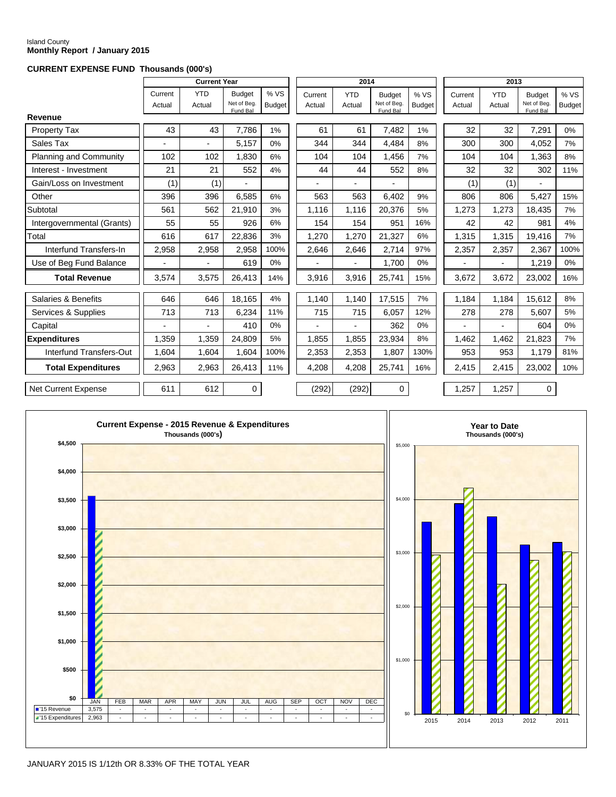#### Island County **Monthly Report / January 2015**

#### **CURRENT EXPENSE FUND Thousands (000's)**

|                               |                   | <b>Current Year</b>      |                                          |                       |                   | 2014                     |                                          |                       |                   | 2013                 |                                          |                      |
|-------------------------------|-------------------|--------------------------|------------------------------------------|-----------------------|-------------------|--------------------------|------------------------------------------|-----------------------|-------------------|----------------------|------------------------------------------|----------------------|
|                               | Current<br>Actual | <b>YTD</b><br>Actual     | <b>Budget</b><br>Net of Beg.<br>Fund Bal | % VS<br><b>Budget</b> | Current<br>Actual | <b>YTD</b><br>Actual     | <b>Budget</b><br>Net of Beg.<br>Fund Bal | % VS<br><b>Budget</b> | Current<br>Actual | <b>YTD</b><br>Actual | <b>Budget</b><br>Net of Beg.<br>Fund Bal | %VS<br><b>Budget</b> |
| Revenue                       |                   |                          |                                          |                       |                   |                          |                                          |                       |                   |                      |                                          |                      |
| Property Tax                  | 43                | 43                       | 7,786                                    | 1%                    | 61                | 61                       | 7,482                                    | 1%                    | 32                | 32                   | 7,291                                    | 0%                   |
| Sales Tax                     |                   | $\overline{\phantom{a}}$ | 5.157                                    | 0%                    | 344               | 344                      | 4.484                                    | 8%                    | 300               | 300                  | 4.052                                    | 7%                   |
| <b>Planning and Community</b> | 102               | 102                      | 1,830                                    | 6%                    | 104               | 104                      | 1,456                                    | 7%                    | 104               | 104                  | 1,363                                    | 8%                   |
| Interest - Investment         | 21                | 21                       | 552                                      | 4%                    | 44                | 44                       | 552                                      | 8%                    | 32                | 32                   | 302                                      | 11%                  |
| Gain/Loss on Investment       | (1)               | (1)                      |                                          |                       |                   |                          |                                          |                       | (1)               | (1)                  |                                          |                      |
| Other                         | 396               | 396                      | 6,585                                    | 6%                    | 563               | 563                      | 6,402                                    | 9%                    | 806               | 806                  | 5,427                                    | 15%                  |
| Subtotal                      | 561               | 562                      | 21,910                                   | 3%                    | 1,116             | 1,116                    | 20,376                                   | 5%                    | 1,273             | 1,273                | 18,435                                   | 7%                   |
| Intergovernmental (Grants)    | 55                | 55                       | 926                                      | 6%                    | 154               | 154                      | 951                                      | 16%                   | 42                | 42                   | 981                                      | 4%                   |
| Total                         | 616               | 617                      | 22,836                                   | 3%                    | 1,270             | 1,270                    | 21,327                                   | 6%                    | 1,315             | 1,315                | 19,416                                   | 7%                   |
| Interfund Transfers-In        | 2,958             | 2,958                    | 2,958                                    | 100%                  | 2,646             | 2,646                    | 2,714                                    | 97%                   | 2,357             | 2,357                | 2,367                                    | 100%                 |
| Use of Beg Fund Balance       | ٠                 | $\blacksquare$           | 619                                      | 0%                    |                   | $\overline{\phantom{0}}$ | 1.700                                    | $0\%$                 |                   | $\sim$               | 1.219                                    | 0%                   |
| <b>Total Revenue</b>          | 3,574             | 3,575                    | 26,413                                   | 14%                   | 3,916             | 3,916                    | 25,741                                   | 15%                   | 3,672             | 3,672                | 23,002                                   | 16%                  |
| Salaries & Benefits           | 646               | 646                      | 18,165                                   | 4%                    | 1,140             | 1,140                    | 17,515                                   | 7%                    | 1,184             | 1,184                | 15,612                                   | 8%                   |
| Services & Supplies           | 713               | 713                      | 6,234                                    | 11%                   | 715               | 715                      | 6,057                                    | 12%                   | 278               | 278                  | 5,607                                    | 5%                   |
| Capital                       |                   |                          | 410                                      | 0%                    |                   |                          | 362                                      | 0%                    |                   |                      | 604                                      | 0%                   |
| <b>Expenditures</b>           | 1.359             | 1,359                    | 24.809                                   | 5%                    | 1,855             | 1.855                    | 23,934                                   | 8%                    | 1,462             | 1,462                | 21,823                                   | 7%                   |
| Interfund Transfers-Out       | 1,604             | 1,604                    | 1,604                                    | 100%                  | 2,353             | 2,353                    | 1,807                                    | 130%                  | 953               | 953                  | 1,179                                    | 81%                  |
| <b>Total Expenditures</b>     | 2,963             | 2,963                    | 26,413                                   | 11%                   | 4,208             | 4,208                    | 25,741                                   | 16%                   | 2,415             | 2.415                | 23,002                                   | 10%                  |
| <b>Net Current Expense</b>    | 611               | 612                      | $\Omega$                                 |                       | (292)             | (292)                    | $\Omega$                                 |                       | 1.257             | 1.257                | $\Omega$                                 |                      |

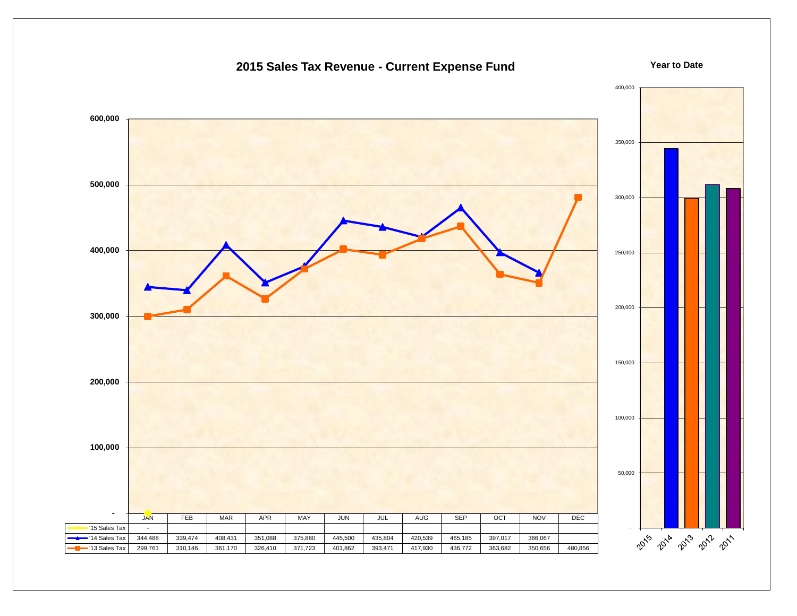

### **2015 Sales Tax Revenue - Current Expense Fund**

**Year to Date**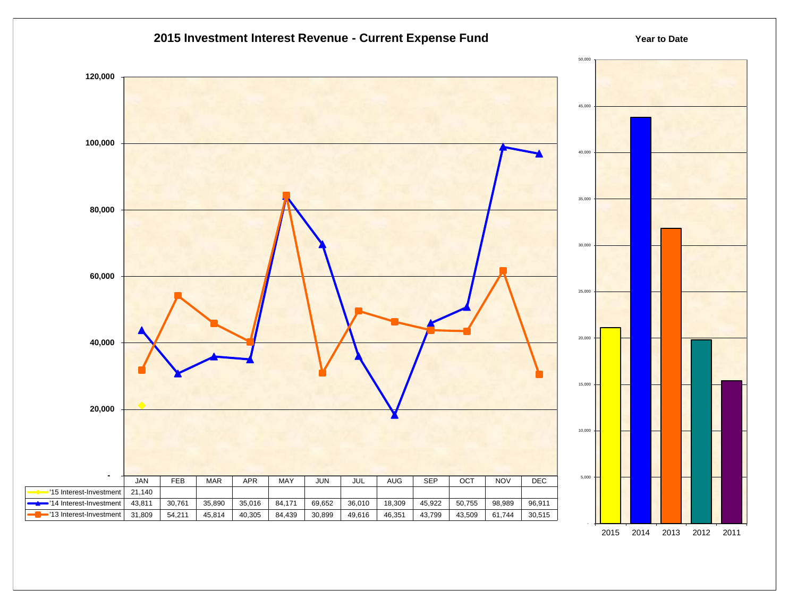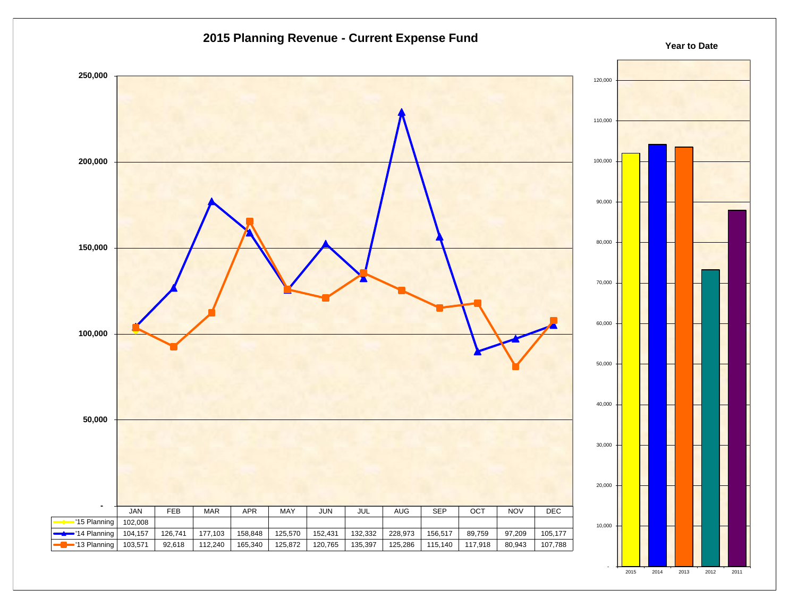

2015 2014 2013 2012 2011

-

### **2015 Planning Revenue - Current Expense Fund**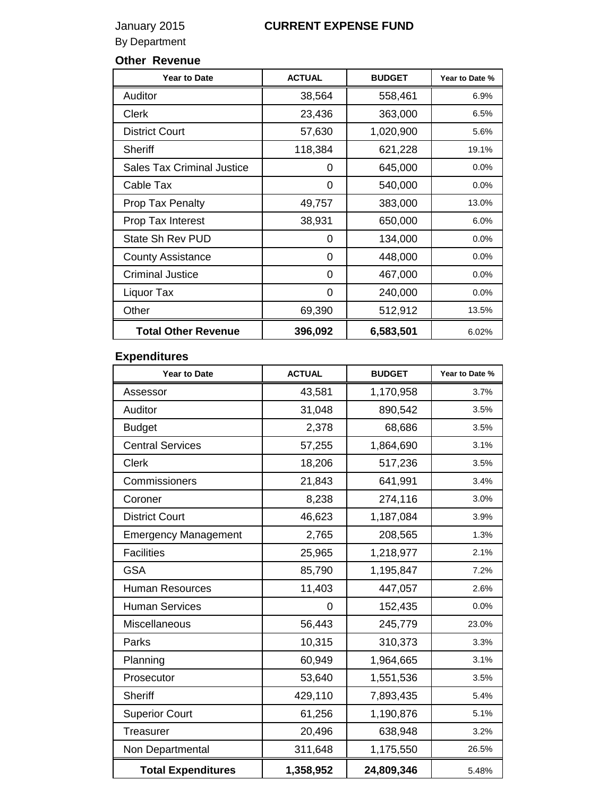## January 2015 **CURRENT EXPENSE FUND**

By Department

### **Other Revenue**

| <b>Year to Date</b>               | <b>ACTUAL</b> | <b>BUDGET</b> | Year to Date % |
|-----------------------------------|---------------|---------------|----------------|
| Auditor                           | 38,564        | 558,461       | 6.9%           |
| Clerk                             | 23,436        | 363,000       | 6.5%           |
| <b>District Court</b>             | 57,630        | 1,020,900     | 5.6%           |
| <b>Sheriff</b>                    | 118,384       | 621,228       | 19.1%          |
| <b>Sales Tax Criminal Justice</b> | 0             | 645,000       | 0.0%           |
| Cable Tax                         | 0             | 540,000       | 0.0%           |
| <b>Prop Tax Penalty</b>           | 49,757        | 383,000       | 13.0%          |
| Prop Tax Interest                 | 38,931        | 650,000       | 6.0%           |
| State Sh Rev PUD                  | 0             | 134,000       | $0.0\%$        |
| <b>County Assistance</b>          | 0             | 448,000       | $0.0\%$        |
| <b>Criminal Justice</b>           | 0             | 467,000       | 0.0%           |
| Liquor Tax                        | 0             | 240,000       | $0.0\%$        |
| Other                             | 69,390        | 512,912       | 13.5%          |
| <b>Total Other Revenue</b>        | 396,092       | 6,583,501     | 6.02%          |

## **Expenditures**

| <b>Year to Date</b>         | <b>ACTUAL</b> | <b>BUDGET</b> | Year to Date % |
|-----------------------------|---------------|---------------|----------------|
| Assessor                    | 43,581        | 1,170,958     | 3.7%           |
| Auditor                     | 31,048        | 890,542       | 3.5%           |
| <b>Budget</b>               | 2,378         | 68,686        | 3.5%           |
| <b>Central Services</b>     | 57,255        | 1,864,690     | 3.1%           |
| <b>Clerk</b>                | 18,206        | 517,236       | 3.5%           |
| Commissioners               | 21,843        | 641,991       | 3.4%           |
| Coroner                     | 8,238         | 274,116       | 3.0%           |
| <b>District Court</b>       | 46,623        | 1,187,084     | 3.9%           |
| <b>Emergency Management</b> | 2,765         | 208,565       | 1.3%           |
| <b>Facilities</b>           | 25,965        | 1,218,977     | 2.1%           |
| <b>GSA</b>                  | 85,790        | 1,195,847     | 7.2%           |
| <b>Human Resources</b>      | 11,403        | 447,057       | 2.6%           |
| <b>Human Services</b>       | 0             | 152,435       | 0.0%           |
| Miscellaneous               | 56,443        | 245,779       | 23.0%          |
| Parks                       | 10,315        | 310,373       | 3.3%           |
| Planning                    | 60,949        | 1,964,665     | 3.1%           |
| Prosecutor                  | 53,640        | 1,551,536     | 3.5%           |
| <b>Sheriff</b>              | 429,110       | 7,893,435     | 5.4%           |
| <b>Superior Court</b>       | 61,256        | 1,190,876     | 5.1%           |
| <b>Treasurer</b>            | 20,496        | 638,948       | 3.2%           |
| Non Departmental            | 311,648       | 1,175,550     | 26.5%          |
| <b>Total Expenditures</b>   | 1,358,952     | 24,809,346    | 5.48%          |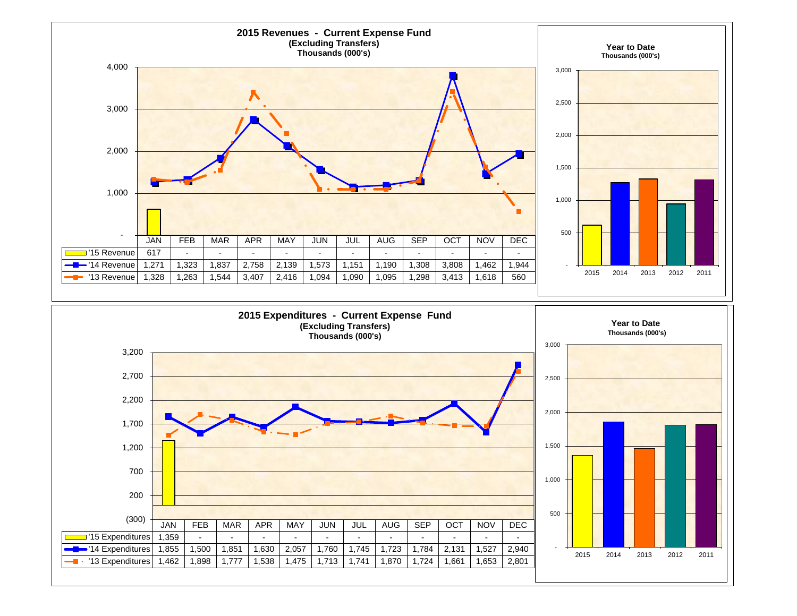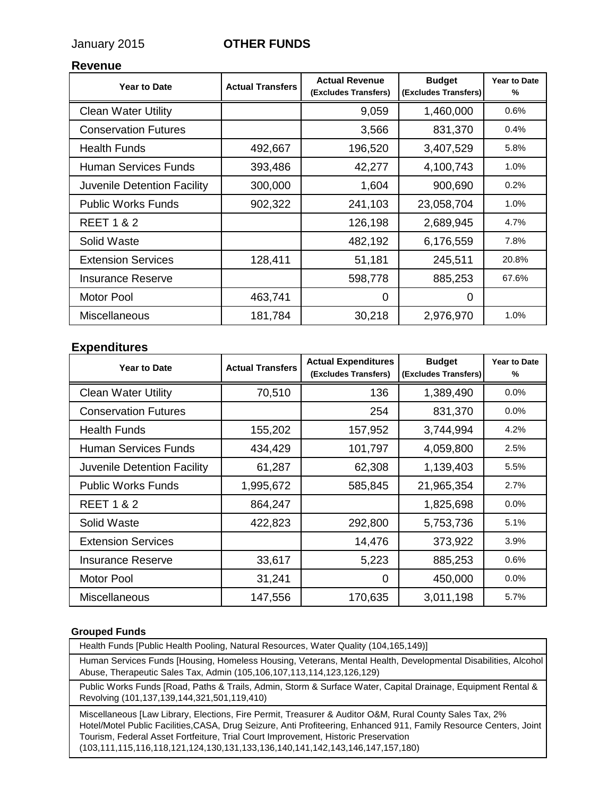### January 2015 **OTHER FUNDS**

#### **Revenue**

| <b>Year to Date</b>         | <b>Actual Transfers</b> | <b>Actual Revenue</b><br>(Excludes Transfers) | <b>Budget</b><br>(Excludes Transfers) | <b>Year to Date</b><br>% |
|-----------------------------|-------------------------|-----------------------------------------------|---------------------------------------|--------------------------|
| <b>Clean Water Utility</b>  |                         | 9,059                                         | 1,460,000                             | 0.6%                     |
| <b>Conservation Futures</b> |                         | 3,566                                         | 831,370                               | 0.4%                     |
| <b>Health Funds</b>         | 492,667                 | 196,520                                       | 3,407,529                             | 5.8%                     |
| Human Services Funds        | 393,486                 | 42,277                                        | 4,100,743                             | 1.0%                     |
| Juvenile Detention Facility | 300,000                 | 1,604                                         | 900,690                               | 0.2%                     |
| <b>Public Works Funds</b>   | 902,322                 | 241,103                                       | 23,058,704                            | 1.0%                     |
| <b>REET 1 &amp; 2</b>       |                         | 126,198                                       | 2,689,945                             | 4.7%                     |
| Solid Waste                 |                         | 482,192                                       | 6,176,559                             | 7.8%                     |
| <b>Extension Services</b>   | 128,411                 | 51,181                                        | 245,511                               | 20.8%                    |
| Insurance Reserve           |                         | 598,778                                       | 885,253                               | 67.6%                    |
| <b>Motor Pool</b>           | 463,741                 | 0                                             | $\Omega$                              |                          |
| <b>Miscellaneous</b>        | 181,784                 | 30,218                                        | 2,976,970                             | 1.0%                     |

### **Expenditures**

| <b>Year to Date</b>         | <b>Actual Transfers</b> | <b>Actual Expenditures</b><br>(Excludes Transfers) | <b>Budget</b><br>(Excludes Transfers) | <b>Year to Date</b><br>% |
|-----------------------------|-------------------------|----------------------------------------------------|---------------------------------------|--------------------------|
| <b>Clean Water Utility</b>  | 70,510                  | 136                                                | 1,389,490                             | 0.0%                     |
| <b>Conservation Futures</b> |                         | 254                                                | 831,370                               | 0.0%                     |
| <b>Health Funds</b>         | 155,202                 | 157,952                                            | 3,744,994                             | 4.2%                     |
| Human Services Funds        | 434,429                 | 101,797                                            | 4,059,800                             | 2.5%                     |
| Juvenile Detention Facility | 61,287                  | 62,308                                             | 1,139,403                             | 5.5%                     |
| <b>Public Works Funds</b>   | 1,995,672               | 585,845                                            | 21,965,354                            | 2.7%                     |
| <b>REET 1 &amp; 2</b>       | 864,247                 |                                                    | 1,825,698                             | 0.0%                     |
| Solid Waste                 | 422,823                 | 292,800                                            | 5,753,736                             | 5.1%                     |
| <b>Extension Services</b>   |                         | 14,476                                             | 373,922                               | 3.9%                     |
| <b>Insurance Reserve</b>    | 33,617                  | 5,223                                              | 885,253                               | 0.6%                     |
| <b>Motor Pool</b>           | 31,241                  | $\Omega$                                           | 450,000                               | 0.0%                     |
| <b>Miscellaneous</b>        | 147,556                 | 170,635                                            | 3,011,198                             | 5.7%                     |

#### **Grouped Funds**

Health Funds [Public Health Pooling, Natural Resources, Water Quality (104,165,149)]

Human Services Funds [Housing, Homeless Housing, Veterans, Mental Health, Developmental Disabilities, Alcohol Abuse, Therapeutic Sales Tax, Admin (105,106,107,113,114,123,126,129)

Public Works Funds [Road, Paths & Trails, Admin, Storm & Surface Water, Capital Drainage, Equipment Rental & Revolving (101,137,139,144,321,501,119,410)

Miscellaneous [Law Library, Elections, Fire Permit, Treasurer & Auditor O&M, Rural County Sales Tax, 2% Hotel/Motel Public Facilities,CASA, Drug Seizure, Anti Profiteering, Enhanced 911, Family Resource Centers, Joint Tourism, Federal Asset Fortfeiture, Trial Court Improvement, Historic Preservation (103,111,115,116,118,121,124,130,131,133,136,140,141,142,143,146,147,157,180)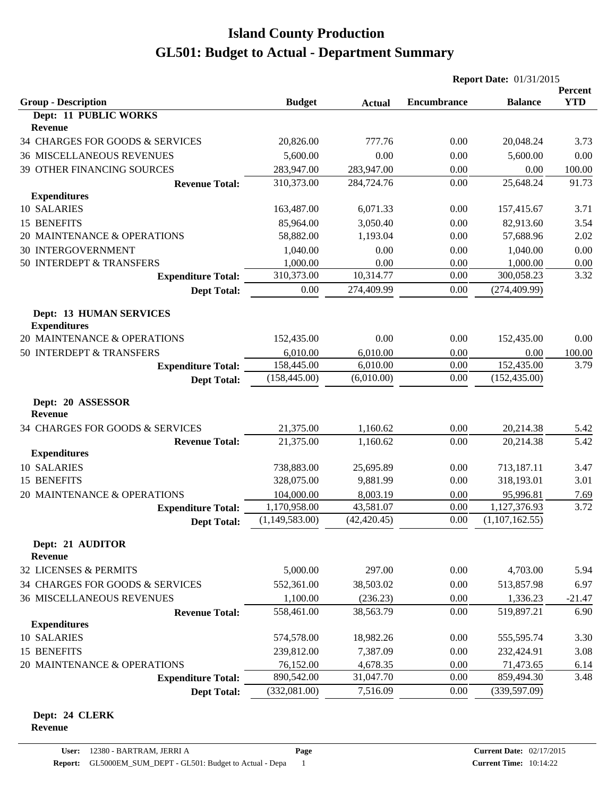|                                                       |                |               | <b>Report Date: 01/31/2015</b> |                |                       |
|-------------------------------------------------------|----------------|---------------|--------------------------------|----------------|-----------------------|
| <b>Group - Description</b>                            | <b>Budget</b>  | <b>Actual</b> | <b>Encumbrance</b>             | <b>Balance</b> | Percent<br><b>YTD</b> |
| Dept: 11 PUBLIC WORKS                                 |                |               |                                |                |                       |
| <b>Revenue</b>                                        |                |               |                                |                |                       |
| 34 CHARGES FOR GOODS & SERVICES                       | 20,826.00      | 777.76        | 0.00                           | 20,048.24      | 3.73                  |
| <b>36 MISCELLANEOUS REVENUES</b>                      | 5,600.00       | 0.00          | 0.00                           | 5,600.00       | 0.00                  |
| 39 OTHER FINANCING SOURCES                            | 283,947.00     | 283,947.00    | 0.00                           | 0.00           | 100.00                |
| <b>Revenue Total:</b>                                 | 310,373.00     | 284,724.76    | 0.00                           | 25,648.24      | 91.73                 |
| <b>Expenditures</b>                                   |                |               |                                |                |                       |
| 10 SALARIES                                           | 163,487.00     | 6,071.33      | 0.00                           | 157,415.67     | 3.71                  |
| 15 BENEFITS                                           | 85,964.00      | 3,050.40      | 0.00                           | 82,913.60      | 3.54                  |
| 20 MAINTENANCE & OPERATIONS                           | 58,882.00      | 1,193.04      | 0.00                           | 57,688.96      | 2.02                  |
| <b>30 INTERGOVERNMENT</b>                             | 1,040.00       | 0.00          | 0.00                           | 1,040.00       | 0.00                  |
| 50 INTERDEPT & TRANSFERS                              | 1,000.00       | 0.00          | 0.00                           | 1,000.00       | 0.00                  |
| <b>Expenditure Total:</b>                             | 310,373.00     | 10,314.77     | 0.00                           | 300,058.23     | 3.32                  |
| <b>Dept Total:</b>                                    | 0.00           | 274,409.99    | 0.00                           | (274, 409.99)  |                       |
| <b>Dept: 13 HUMAN SERVICES</b><br><b>Expenditures</b> |                |               |                                |                |                       |
| 20 MAINTENANCE & OPERATIONS                           | 152,435.00     | 0.00          | 0.00                           | 152,435.00     | 0.00                  |
| 50 INTERDEPT & TRANSFERS                              | 6,010.00       | 6,010.00      | 0.00                           | 0.00           | 100.00                |
| <b>Expenditure Total:</b>                             | 158,445.00     | 6,010.00      | 0.00                           | 152,435.00     | 3.79                  |
| <b>Dept Total:</b>                                    | (158, 445.00)  | (6,010.00)    | 0.00                           | (152, 435.00)  |                       |
| Dept: 20 ASSESSOR<br><b>Revenue</b>                   |                |               |                                |                |                       |
| 34 CHARGES FOR GOODS & SERVICES                       | 21,375.00      | 1,160.62      | 0.00                           | 20,214.38      | 5.42                  |
| <b>Revenue Total:</b>                                 | 21,375.00      | 1,160.62      | 0.00                           | 20,214.38      | 5.42                  |
| <b>Expenditures</b>                                   |                |               |                                |                |                       |
| 10 SALARIES                                           | 738,883.00     | 25,695.89     | 0.00                           | 713,187.11     | 3.47                  |
| 15 BENEFITS                                           | 328,075.00     | 9,881.99      | 0.00                           | 318,193.01     | 3.01                  |
| 20 MAINTENANCE & OPERATIONS                           | 104,000.00     | 8,003.19      | 0.00                           | 95,996.81      | 7.69                  |
| <b>Expenditure Total:</b>                             | 1,170,958.00   | 43,581.07     | 0.00                           | 1,127,376.93   | 3.72                  |
| <b>Dept Total:</b>                                    | (1,149,583.00) | (42, 420.45)  | 0.00                           | (1,107,162.55) |                       |
| Dept: 21 AUDITOR<br><b>Revenue</b>                    |                |               |                                |                |                       |
| 32 LICENSES & PERMITS                                 | 5,000.00       | 297.00        | 0.00                           | 4,703.00       | 5.94                  |
| 34 CHARGES FOR GOODS & SERVICES                       | 552,361.00     | 38,503.02     | 0.00                           | 513,857.98     | 6.97                  |
| <b>36 MISCELLANEOUS REVENUES</b>                      | 1,100.00       | (236.23)      | 0.00                           | 1,336.23       | $-21.47$              |
| <b>Revenue Total:</b>                                 | 558,461.00     | 38,563.79     | 0.00                           | 519,897.21     | 6.90                  |
| <b>Expenditures</b>                                   |                |               |                                |                |                       |
| 10 SALARIES                                           | 574,578.00     | 18,982.26     | 0.00                           | 555,595.74     | 3.30                  |
| 15 BENEFITS                                           | 239,812.00     | 7,387.09      | 0.00                           | 232,424.91     | 3.08                  |
| 20 MAINTENANCE & OPERATIONS                           | 76,152.00      | 4,678.35      | 0.00                           | 71,473.65      | 6.14                  |
| <b>Expenditure Total:</b>                             | 890,542.00     | 31,047.70     | 0.00                           | 859,494.30     | 3.48                  |
| <b>Dept Total:</b>                                    | (332,081.00)   | 7,516.09      | 0.00                           | (339, 597.09)  |                       |

#### **Dept: 24 CLERK Revenue**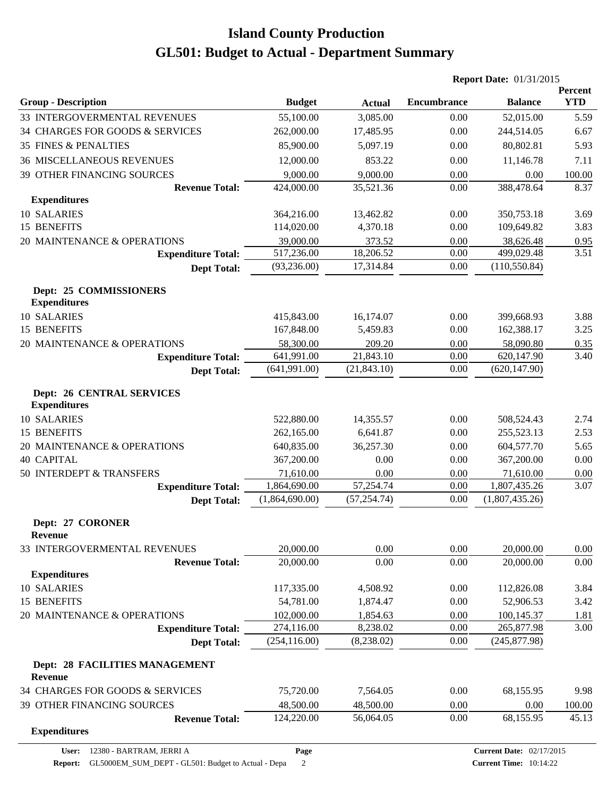|                                                         |                |               | <b>Report Date: 01/31/2015</b> |                                 |                       |
|---------------------------------------------------------|----------------|---------------|--------------------------------|---------------------------------|-----------------------|
| <b>Group - Description</b>                              | <b>Budget</b>  | <b>Actual</b> | <b>Encumbrance</b>             | <b>Balance</b>                  | Percent<br><b>YTD</b> |
| 33 INTERGOVERMENTAL REVENUES                            | 55,100.00      | 3,085.00      | 0.00                           | 52,015.00                       | 5.59                  |
| 34 CHARGES FOR GOODS & SERVICES                         | 262,000.00     | 17,485.95     | 0.00                           | 244,514.05                      | 6.67                  |
| <b>35 FINES &amp; PENALTIES</b>                         | 85,900.00      | 5,097.19      | 0.00                           | 80,802.81                       | 5.93                  |
| <b>36 MISCELLANEOUS REVENUES</b>                        | 12,000.00      | 853.22        | 0.00                           | 11,146.78                       | 7.11                  |
| 39 OTHER FINANCING SOURCES                              | 9,000.00       | 9,000.00      | 0.00                           | 0.00                            | 100.00                |
| <b>Revenue Total:</b>                                   | 424,000.00     | 35,521.36     | 0.00                           | 388,478.64                      | 8.37                  |
| <b>Expenditures</b>                                     |                |               |                                |                                 |                       |
| 10 SALARIES                                             | 364,216.00     | 13,462.82     | 0.00                           | 350,753.18                      | 3.69                  |
| 15 BENEFITS                                             | 114,020.00     | 4,370.18      | 0.00                           | 109,649.82                      | 3.83                  |
| 20 MAINTENANCE & OPERATIONS                             | 39,000.00      | 373.52        | 0.00                           | 38,626.48                       | 0.95                  |
| <b>Expenditure Total:</b>                               | 517,236.00     | 18,206.52     | 0.00                           | 499,029.48                      | 3.51                  |
| <b>Dept Total:</b>                                      | (93, 236.00)   | 17,314.84     | 0.00                           | (110, 550.84)                   |                       |
| <b>Dept: 25 COMMISSIONERS</b><br><b>Expenditures</b>    |                |               |                                |                                 |                       |
| 10 SALARIES                                             | 415,843.00     | 16,174.07     | 0.00                           | 399,668.93                      | 3.88                  |
| 15 BENEFITS                                             | 167,848.00     | 5,459.83      | 0.00                           | 162,388.17                      | 3.25                  |
| 20 MAINTENANCE & OPERATIONS                             | 58,300.00      | 209.20        | 0.00                           | 58,090.80                       | 0.35                  |
| <b>Expenditure Total:</b>                               | 641,991.00     | 21,843.10     | 0.00                           | 620,147.90                      | 3.40                  |
| <b>Dept Total:</b>                                      | (641,991.00)   | (21, 843.10)  | 0.00                           | (620, 147.90)                   |                       |
| <b>Dept: 26 CENTRAL SERVICES</b><br><b>Expenditures</b> |                |               |                                |                                 |                       |
| 10 SALARIES                                             | 522,880.00     | 14,355.57     | 0.00                           | 508,524.43                      | 2.74                  |
| 15 BENEFITS                                             | 262,165.00     | 6,641.87      | 0.00                           | 255,523.13                      | 2.53                  |
| 20 MAINTENANCE & OPERATIONS                             | 640,835.00     | 36,257.30     | 0.00                           | 604,577.70                      | 5.65                  |
| <b>40 CAPITAL</b>                                       | 367,200.00     | 0.00          | 0.00                           | 367,200.00                      | 0.00                  |
| 50 INTERDEPT & TRANSFERS                                | 71,610.00      | 0.00          | 0.00                           | 71,610.00                       | 0.00                  |
| <b>Expenditure Total:</b>                               | 1,864,690.00   | 57,254.74     | 0.00                           | 1,807,435.26                    | 3.07                  |
| <b>Dept Total:</b>                                      | (1,864,690.00) | (57, 254.74)  | 0.00                           | (1,807,435.26)                  |                       |
| Dept: 27 CORONER<br><b>Revenue</b>                      |                |               |                                |                                 |                       |
| 33 INTERGOVERMENTAL REVENUES                            | 20,000.00      | 0.00          | 0.00                           | 20,000.00                       | 0.00                  |
| <b>Revenue Total:</b><br><b>Expenditures</b>            | 20,000.00      | 0.00          | 0.00                           | 20,000.00                       | 0.00                  |
| 10 SALARIES                                             | 117,335.00     | 4,508.92      | 0.00                           | 112,826.08                      | 3.84                  |
| 15 BENEFITS                                             | 54,781.00      | 1,874.47      | 0.00                           | 52,906.53                       | 3.42                  |
| 20 MAINTENANCE & OPERATIONS                             | 102,000.00     | 1,854.63      | 0.00                           | 100,145.37                      | 1.81                  |
| <b>Expenditure Total:</b>                               | 274,116.00     | 8,238.02      | 0.00                           | 265,877.98                      | 3.00                  |
| <b>Dept Total:</b>                                      | (254, 116.00)  | (8,238.02)    | 0.00                           | (245, 877.98)                   |                       |
| Dept: 28 FACILITIES MANAGEMENT<br><b>Revenue</b>        |                |               |                                |                                 |                       |
| 34 CHARGES FOR GOODS & SERVICES                         | 75,720.00      | 7,564.05      | 0.00                           | 68,155.95                       | 9.98                  |
| 39 OTHER FINANCING SOURCES                              | 48,500.00      | 48,500.00     | 0.00                           | 0.00                            | 100.00                |
| <b>Revenue Total:</b>                                   | 124,220.00     | 56,064.05     | 0.00                           | 68,155.95                       | 45.13                 |
| <b>Expenditures</b>                                     |                |               |                                |                                 |                       |
| 12380 - BARTRAM, JERRI A<br>User:                       | Page           |               |                                | <b>Current Date: 02/17/2015</b> |                       |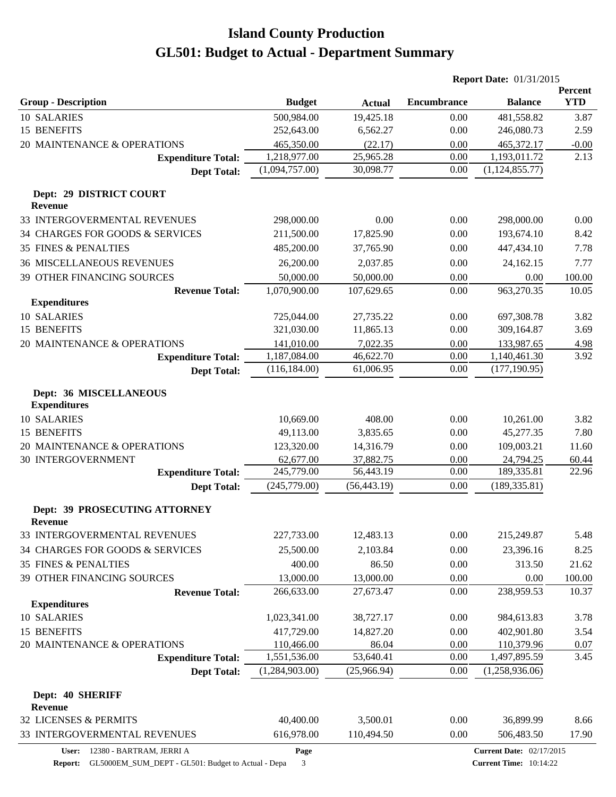|                                                      |                |               |                    | <b>Report Date: 01/31/2015</b>  |                       |
|------------------------------------------------------|----------------|---------------|--------------------|---------------------------------|-----------------------|
| <b>Group - Description</b>                           | <b>Budget</b>  | <b>Actual</b> | <b>Encumbrance</b> | <b>Balance</b>                  | Percent<br><b>YTD</b> |
| 10 SALARIES                                          | 500,984.00     | 19,425.18     | 0.00               | 481,558.82                      | 3.87                  |
| 15 BENEFITS                                          | 252,643.00     | 6,562.27      | 0.00               | 246,080.73                      | 2.59                  |
| 20 MAINTENANCE & OPERATIONS                          | 465,350.00     | (22.17)       | 0.00               | 465,372.17                      | $-0.00$               |
| <b>Expenditure Total:</b>                            | 1,218,977.00   | 25,965.28     | 0.00               | 1,193,011.72                    | 2.13                  |
| <b>Dept Total:</b>                                   | (1,094,757.00) | 30,098.77     | 0.00               | (1, 124, 855.77)                |                       |
| Dept: 29 DISTRICT COURT<br><b>Revenue</b>            |                |               |                    |                                 |                       |
| 33 INTERGOVERMENTAL REVENUES                         | 298,000.00     | 0.00          | 0.00               | 298,000.00                      | 0.00                  |
| 34 CHARGES FOR GOODS & SERVICES                      | 211,500.00     | 17,825.90     | 0.00               | 193,674.10                      | 8.42                  |
| <b>35 FINES &amp; PENALTIES</b>                      | 485,200.00     | 37,765.90     | 0.00               | 447,434.10                      | 7.78                  |
| <b>36 MISCELLANEOUS REVENUES</b>                     | 26,200.00      | 2,037.85      | 0.00               | 24,162.15                       | 7.77                  |
| 39 OTHER FINANCING SOURCES                           | 50,000.00      | 50,000.00     | 0.00               | 0.00                            | 100.00                |
| <b>Revenue Total:</b>                                | 1,070,900.00   | 107,629.65    | 0.00               | 963,270.35                      | 10.05                 |
| <b>Expenditures</b>                                  |                |               |                    |                                 |                       |
| 10 SALARIES                                          | 725,044.00     | 27,735.22     | 0.00               | 697,308.78                      | 3.82                  |
| 15 BENEFITS                                          | 321,030.00     | 11,865.13     | 0.00               | 309,164.87                      | 3.69                  |
| 20 MAINTENANCE & OPERATIONS                          | 141,010.00     | 7,022.35      | 0.00               | 133,987.65                      | 4.98                  |
| <b>Expenditure Total:</b>                            | 1,187,084.00   | 46,622.70     | 0.00               | 1,140,461.30                    | 3.92                  |
| <b>Dept Total:</b>                                   | (116, 184.00)  | 61,006.95     | 0.00               | (177, 190.95)                   |                       |
| <b>Dept: 36 MISCELLANEOUS</b><br><b>Expenditures</b> |                |               |                    |                                 |                       |
| 10 SALARIES                                          | 10,669.00      | 408.00        | 0.00               | 10,261.00                       | 3.82                  |
| 15 BENEFITS                                          | 49,113.00      | 3,835.65      | 0.00               | 45,277.35                       | 7.80                  |
| 20 MAINTENANCE & OPERATIONS                          | 123,320.00     | 14,316.79     | 0.00               | 109,003.21                      | 11.60                 |
| <b>30 INTERGOVERNMENT</b>                            | 62,677.00      | 37,882.75     | 0.00               | 24,794.25                       | 60.44                 |
| <b>Expenditure Total:</b>                            | 245,779.00     | 56,443.19     | 0.00               | 189,335.81                      | 22.96                 |
| <b>Dept Total:</b>                                   | (245,779.00)   | (56, 443.19)  | 0.00               | (189, 335.81)                   |                       |
| Dept: 39 PROSECUTING ATTORNEY<br><b>Revenue</b>      |                |               |                    |                                 |                       |
| 33 INTERGOVERMENTAL REVENUES                         | 227,733.00     | 12,483.13     | 0.00               | 215,249.87                      | 5.48                  |
| 34 CHARGES FOR GOODS & SERVICES                      | 25,500.00      | 2,103.84      | 0.00               | 23,396.16                       | 8.25                  |
| <b>35 FINES &amp; PENALTIES</b>                      | 400.00         | 86.50         | 0.00               | 313.50                          | 21.62                 |
| 39 OTHER FINANCING SOURCES                           | 13,000.00      | 13,000.00     | 0.00               | 0.00                            | 100.00                |
| <b>Revenue Total:</b>                                | 266,633.00     | 27,673.47     | 0.00               | 238,959.53                      | 10.37                 |
| <b>Expenditures</b>                                  |                |               |                    |                                 |                       |
| 10 SALARIES                                          | 1,023,341.00   | 38,727.17     | 0.00               | 984,613.83                      | 3.78                  |
| 15 BENEFITS                                          | 417,729.00     | 14,827.20     | 0.00               | 402,901.80                      | 3.54                  |
| 20 MAINTENANCE & OPERATIONS                          | 110,466.00     | 86.04         | 0.00               | 110,379.96                      | 0.07                  |
| <b>Expenditure Total:</b>                            | 1,551,536.00   | 53,640.41     | 0.00               | 1,497,895.59                    | 3.45                  |
| <b>Dept Total:</b>                                   | (1,284,903.00) | (25,966.94)   | 0.00               | (1,258,936.06)                  |                       |
| Dept: 40 SHERIFF                                     |                |               |                    |                                 |                       |
| Revenue                                              |                |               |                    |                                 |                       |
| 32 LICENSES & PERMITS                                | 40,400.00      | 3,500.01      | 0.00               | 36,899.99                       | 8.66                  |
| 33 INTERGOVERMENTAL REVENUES                         | 616,978.00     | 110,494.50    | $0.00\,$           | 506,483.50                      | 17.90                 |
| User: 12380 - BARTRAM, JERRI A                       | Page           |               |                    | <b>Current Date: 02/17/2015</b> |                       |

**Report:** GL5000EM\_SUM\_DEPT - GL501: Budget to Actual - Depa 3

**Current Date:** 02/17/2015 **Current Time:** 10:14:22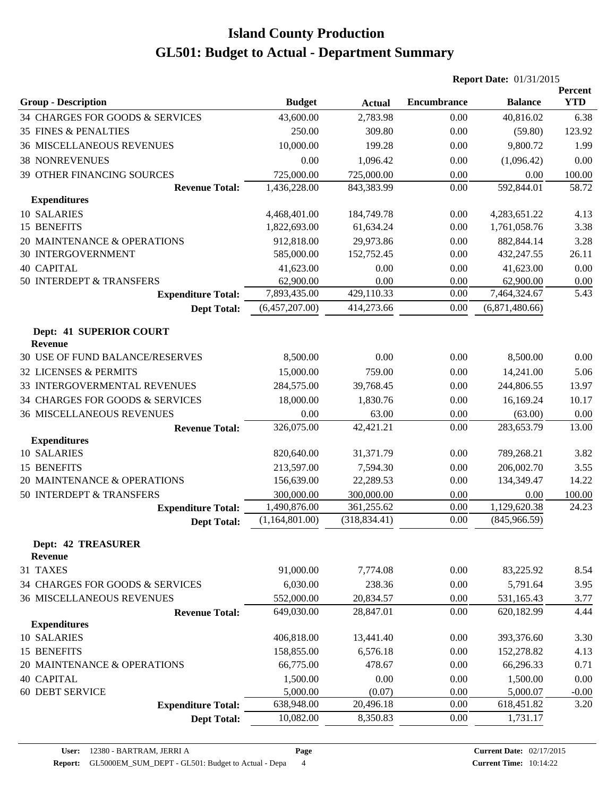|                                           |                |               | <b>Report Date: 01/31/2015</b> |                |                       |
|-------------------------------------------|----------------|---------------|--------------------------------|----------------|-----------------------|
| <b>Group - Description</b>                | <b>Budget</b>  | <b>Actual</b> | <b>Encumbrance</b>             | <b>Balance</b> | Percent<br><b>YTD</b> |
| 34 CHARGES FOR GOODS & SERVICES           | 43,600.00      | 2,783.98      | 0.00                           | 40,816.02      | 6.38                  |
| 35 FINES & PENALTIES                      | 250.00         | 309.80        | 0.00                           | (59.80)        | 123.92                |
| <b>36 MISCELLANEOUS REVENUES</b>          | 10,000.00      | 199.28        | 0.00                           | 9,800.72       | 1.99                  |
| <b>38 NONREVENUES</b>                     | 0.00           | 1,096.42      | 0.00                           | (1,096.42)     | 0.00                  |
| 39 OTHER FINANCING SOURCES                | 725,000.00     | 725,000.00    | 0.00                           | 0.00           | 100.00                |
| <b>Revenue Total:</b>                     | 1,436,228.00   | 843,383.99    | 0.00                           | 592,844.01     | 58.72                 |
| <b>Expenditures</b>                       |                |               |                                |                |                       |
| 10 SALARIES                               | 4,468,401.00   | 184,749.78    | 0.00                           | 4,283,651.22   | 4.13                  |
| 15 BENEFITS                               | 1,822,693.00   | 61,634.24     | 0.00                           | 1,761,058.76   | 3.38                  |
| 20 MAINTENANCE & OPERATIONS               | 912,818.00     | 29,973.86     | 0.00                           | 882, 844. 14   | 3.28                  |
| <b>30 INTERGOVERNMENT</b>                 | 585,000.00     | 152,752.45    | 0.00                           | 432,247.55     | 26.11                 |
| <b>40 CAPITAL</b>                         | 41,623.00      | 0.00          | 0.00                           | 41,623.00      | 0.00                  |
| 50 INTERDEPT & TRANSFERS                  | 62,900.00      | 0.00          | 0.00                           | 62,900.00      | 0.00                  |
| <b>Expenditure Total:</b>                 | 7,893,435.00   | 429,110.33    | 0.00                           | 7,464,324.67   | 5.43                  |
| <b>Dept Total:</b>                        | (6,457,207.00) | 414,273.66    | 0.00                           | (6,871,480.66) |                       |
| Dept: 41 SUPERIOR COURT<br><b>Revenue</b> |                |               |                                |                |                       |
| 30 USE OF FUND BALANCE/RESERVES           | 8,500.00       | 0.00          | 0.00                           | 8,500.00       | 0.00                  |
| 32 LICENSES & PERMITS                     | 15,000.00      | 759.00        | 0.00                           | 14,241.00      | 5.06                  |
| 33 INTERGOVERMENTAL REVENUES              | 284,575.00     | 39,768.45     | 0.00                           | 244,806.55     | 13.97                 |
| 34 CHARGES FOR GOODS & SERVICES           | 18,000.00      | 1,830.76      | 0.00                           | 16,169.24      | 10.17                 |
| <b>36 MISCELLANEOUS REVENUES</b>          | 0.00           | 63.00         | 0.00                           | (63.00)        | 0.00                  |
| <b>Revenue Total:</b>                     | 326,075.00     | 42,421.21     | 0.00                           | 283,653.79     | 13.00                 |
| <b>Expenditures</b>                       |                |               |                                |                |                       |
| 10 SALARIES                               | 820,640.00     | 31,371.79     | 0.00                           | 789,268.21     | 3.82                  |
| 15 BENEFITS                               | 213,597.00     | 7,594.30      | 0.00                           | 206,002.70     | 3.55                  |
| 20 MAINTENANCE & OPERATIONS               | 156,639.00     | 22,289.53     | 0.00                           | 134,349.47     | 14.22                 |
| 50 INTERDEPT & TRANSFERS                  | 300,000.00     | 300,000.00    | 0.00                           | 0.00           | 100.00                |
| <b>Expenditure Total:</b>                 | 1,490,876.00   | 361,255.62    | 0.00                           | 1,129,620.38   | 24.23                 |
| <b>Dept Total:</b>                        | (1,164,801.00) | (318, 834.41) | 0.00                           | (845,966.59)   |                       |
| <b>Dept: 42 TREASURER</b><br>Revenue      |                |               |                                |                |                       |
| 31 TAXES                                  | 91,000.00      | 7,774.08      | 0.00                           | 83,225.92      | 8.54                  |
| 34 CHARGES FOR GOODS & SERVICES           | 6,030.00       | 238.36        | 0.00                           | 5,791.64       | 3.95                  |
| <b>36 MISCELLANEOUS REVENUES</b>          | 552,000.00     | 20,834.57     | 0.00                           | 531,165.43     | 3.77                  |
| <b>Revenue Total:</b>                     | 649,030.00     | 28,847.01     | 0.00                           | 620,182.99     | 4.44                  |
| <b>Expenditures</b>                       |                |               |                                |                |                       |
| 10 SALARIES                               | 406,818.00     | 13,441.40     | 0.00                           | 393,376.60     | 3.30                  |
| 15 BENEFITS                               | 158,855.00     | 6,576.18      | 0.00                           | 152,278.82     | 4.13                  |
| 20 MAINTENANCE & OPERATIONS               | 66,775.00      | 478.67        | 0.00                           | 66,296.33      | 0.71                  |
| <b>40 CAPITAL</b>                         | 1,500.00       | 0.00          | 0.00                           | 1,500.00       | 0.00                  |
| 60 DEBT SERVICE                           | 5,000.00       | (0.07)        | 0.00                           | 5,000.07       | $-0.00$               |
| <b>Expenditure Total:</b>                 | 638,948.00     | 20,496.18     | 0.00                           | 618,451.82     | 3.20                  |
| <b>Dept Total:</b>                        | 10,082.00      | 8,350.83      | 0.00                           | 1,731.17       |                       |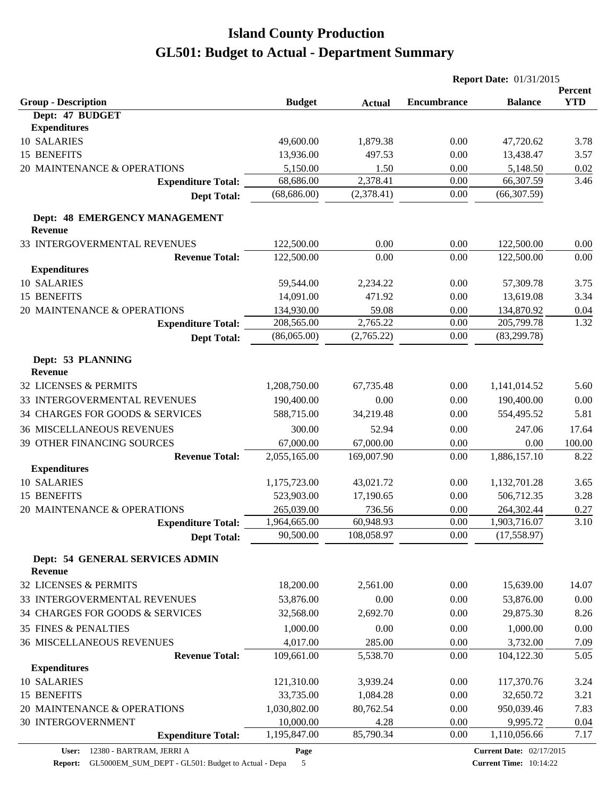|                                                 |               |               | <b>Report Date: 01/31/2015</b> |                |                       |
|-------------------------------------------------|---------------|---------------|--------------------------------|----------------|-----------------------|
| <b>Group - Description</b>                      | <b>Budget</b> | <b>Actual</b> | <b>Encumbrance</b>             | <b>Balance</b> | Percent<br><b>YTD</b> |
| Dept: 47 BUDGET                                 |               |               |                                |                |                       |
| <b>Expenditures</b>                             |               |               |                                |                |                       |
| 10 SALARIES                                     | 49,600.00     | 1,879.38      | 0.00                           | 47,720.62      | 3.78                  |
| 15 BENEFITS                                     | 13,936.00     | 497.53        | 0.00                           | 13,438.47      | 3.57                  |
| 20 MAINTENANCE & OPERATIONS                     | 5,150.00      | 1.50          | 0.00                           | 5,148.50       | 0.02                  |
| <b>Expenditure Total:</b>                       | 68,686.00     | 2,378.41      | 0.00                           | 66,307.59      | 3.46                  |
| <b>Dept Total:</b>                              | (68, 686.00)  | (2,378.41)    | 0.00                           | (66, 307.59)   |                       |
| Dept: 48 EMERGENCY MANAGEMENT<br><b>Revenue</b> |               |               |                                |                |                       |
| 33 INTERGOVERMENTAL REVENUES                    | 122,500.00    | 0.00          | 0.00                           | 122,500.00     | 0.00                  |
| <b>Revenue Total:</b>                           | 122,500.00    | 0.00          | 0.00                           | 122,500.00     | 0.00                  |
| <b>Expenditures</b>                             |               |               |                                |                |                       |
| 10 SALARIES                                     | 59,544.00     | 2,234.22      | 0.00                           | 57,309.78      | 3.75                  |
| 15 BENEFITS                                     | 14,091.00     | 471.92        | 0.00                           | 13,619.08      | 3.34                  |
| 20 MAINTENANCE & OPERATIONS                     | 134,930.00    | 59.08         | 0.00                           | 134,870.92     | 0.04                  |
| <b>Expenditure Total:</b>                       | 208,565.00    | 2,765.22      | 0.00                           | 205,799.78     | 1.32                  |
| <b>Dept Total:</b>                              | (86,065.00)   | (2,765.22)    | 0.00                           | (83, 299.78)   |                       |
| Dept: 53 PLANNING<br><b>Revenue</b>             |               |               |                                |                |                       |
| 32 LICENSES & PERMITS                           | 1,208,750.00  | 67,735.48     | 0.00                           | 1,141,014.52   | 5.60                  |
| 33 INTERGOVERMENTAL REVENUES                    | 190,400.00    | 0.00          | 0.00                           | 190,400.00     | 0.00                  |
| 34 CHARGES FOR GOODS & SERVICES                 | 588,715.00    | 34,219.48     | 0.00                           | 554,495.52     | 5.81                  |
| <b>36 MISCELLANEOUS REVENUES</b>                | 300.00        | 52.94         | 0.00                           | 247.06         | 17.64                 |
| 39 OTHER FINANCING SOURCES                      | 67,000.00     | 67,000.00     | 0.00                           | 0.00           | 100.00                |
| <b>Revenue Total:</b>                           | 2,055,165.00  | 169,007.90    | 0.00                           | 1,886,157.10   | 8.22                  |
| <b>Expenditures</b>                             |               |               |                                |                |                       |
| 10 SALARIES                                     | 1,175,723.00  | 43,021.72     | 0.00                           | 1,132,701.28   | 3.65                  |
| 15 BENEFITS                                     | 523,903.00    | 17,190.65     | 0.00                           | 506,712.35     | 3.28                  |
| 20 MAINTENANCE & OPERATIONS                     | 265,039.00    | 736.56        | 0.00                           | 264,302.44     | 0.27                  |
| <b>Expenditure Total:</b>                       | 1.964.665.00  | 60,948.93     | 0.00                           | 1,903,716.07   | 3.10                  |
| <b>Dept Total:</b>                              | 90,500.00     | 108,058.97    | 0.00                           | (17, 558.97)   |                       |
| Dept: 54 GENERAL SERVICES ADMIN<br>Revenue      |               |               |                                |                |                       |
| 32 LICENSES & PERMITS                           | 18,200.00     | 2,561.00      | 0.00                           | 15,639.00      | 14.07                 |
| 33 INTERGOVERMENTAL REVENUES                    | 53,876.00     | 0.00          | 0.00                           | 53,876.00      | 0.00                  |
| 34 CHARGES FOR GOODS & SERVICES                 | 32,568.00     | 2,692.70      | 0.00                           | 29,875.30      | 8.26                  |
| <b>35 FINES &amp; PENALTIES</b>                 | 1,000.00      | 0.00          | 0.00                           | 1,000.00       | 0.00                  |
| <b>36 MISCELLANEOUS REVENUES</b>                | 4,017.00      | 285.00        | 0.00                           | 3,732.00       | 7.09                  |
| <b>Revenue Total:</b>                           | 109,661.00    | 5,538.70      | 0.00                           | 104,122.30     | 5.05                  |
| <b>Expenditures</b>                             |               |               |                                |                |                       |
| 10 SALARIES                                     | 121,310.00    | 3,939.24      | 0.00                           | 117,370.76     | 3.24                  |
| 15 BENEFITS                                     | 33,735.00     | 1,084.28      | 0.00                           | 32,650.72      | 3.21                  |
| 20 MAINTENANCE & OPERATIONS                     | 1,030,802.00  | 80,762.54     | 0.00                           | 950,039.46     | 7.83                  |
| 30 INTERGOVERNMENT                              | 10,000.00     | 4.28          | 0.00                           | 9,995.72       | 0.04                  |
| <b>Expenditure Total:</b>                       | 1,195,847.00  | 85,790.34     | 0.00                           | 1,110,056.66   | 7.17                  |

**Page**